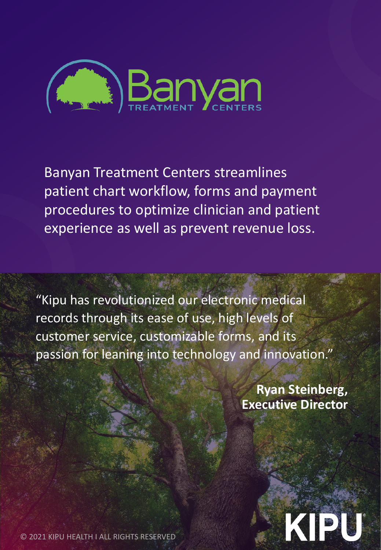

Banyan Treatment Centers streamlines patient chart workflow, forms and payment procedures to optimize clinician and patient experience as well as prevent revenue loss.

"Kipu has revolutionized our electronic medical records through its ease of use, high levels of customer service, customizable forms, and its passion for leaning into technology and innovation."

> **Ryan Steinberg, Executive Director**



© 2021 KIPU HEALTH I ALL RIGHTS RESERVED

WWW. KIPUHEALTH.COM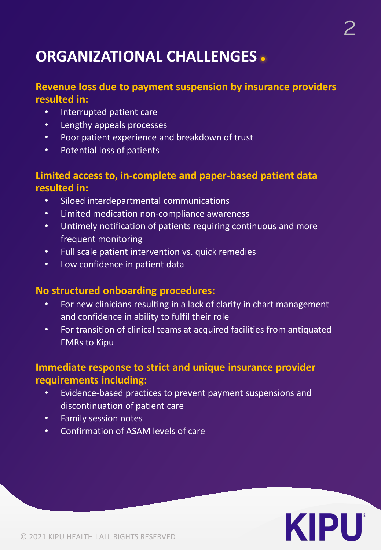# **ORGANIZATIONAL CHALLENGES**

#### **Revenue loss due to payment suspension by insurance providers resulted in:**

- Interrupted patient care
- Lengthy appeals processes
- Poor patient experience and breakdown of trust
- Potential loss of patients

#### **Limited access to, in-complete and paper-based patient data resulted in:**

- Siloed interdepartmental communications
- Limited medication non-compliance awareness
- Untimely notification of patients requiring continuous and more frequent monitoring
- Full scale patient intervention vs. quick remedies
- Low confidence in patient data

#### **No structured onboarding procedures:**

- For new clinicians resulting in a lack of clarity in chart management and confidence in ability to fulfil their role
- For transition of clinical teams at acquired facilities from antiquated EMRs to Kipu

#### **Immediate response to strict and unique insurance provider requirements including:**

- Evidence-based practices to prevent payment suspensions and discontinuation of patient care
- Family session notes
- Confirmation of ASAM levels of care

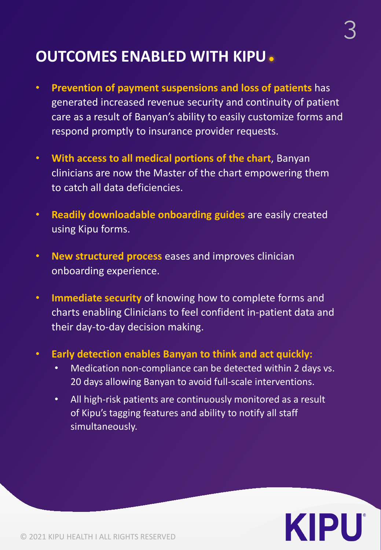## **OUTCOMES ENABLED WITH KIPU**

- **Prevention of payment suspensions and loss of patients** has generated increased revenue security and continuity of patient care as a result of Banyan's ability to easily customize forms and respond promptly to insurance provider requests.
- **With access to all medical portions of the chart**, Banyan clinicians are now the Master of the chart empowering them to catch all data deficiencies.
- **Readily downloadable onboarding guides** are easily created using Kipu forms.
- **New structured process** eases and improves clinician onboarding experience.
- **Immediate security** of knowing how to complete forms and charts enabling Clinicians to feel confident in-patient data and their day-to-day decision making.
- **Early detection enables Banyan to think and act quickly:** 
	- Medication non-compliance can be detected within 2 days vs. 20 days allowing Banyan to avoid full-scale interventions.
	- All high-risk patients are continuously monitored as a result of Kipu's tagging features and ability to notify all staff simultaneously.